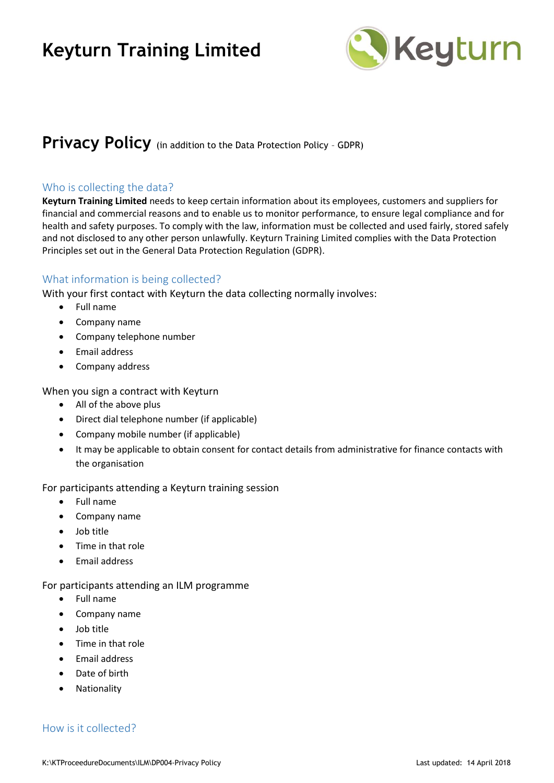

# **Privacy Policy** (in addition to the Data Protection Policy - GDPR)

### Who is collecting the data?

**Keyturn Training Limited** needs to keep certain information about its employees, customers and suppliers for financial and commercial reasons and to enable us to monitor performance, to ensure legal compliance and for health and safety purposes. To comply with the law, information must be collected and used fairly, stored safely and not disclosed to any other person unlawfully. Keyturn Training Limited complies with the Data Protection Principles set out in the General Data Protection Regulation (GDPR).

# What information is being collected?

With your first contact with Keyturn the data collecting normally involves:

- Full name
- Company name
- Company telephone number
- Email address
- Company address

When you sign a contract with Keyturn

- All of the above plus
- Direct dial telephone number (if applicable)
- Company mobile number (if applicable)
- It may be applicable to obtain consent for contact details from administrative for finance contacts with the organisation

For participants attending a Keyturn training session

- Full name
- Company name
- Job title
- Time in that role
- Email address

For participants attending an ILM programme

- Full name
- Company name
- Job title
- Time in that role
- Email address
- Date of birth
- Nationality

# How is it collected?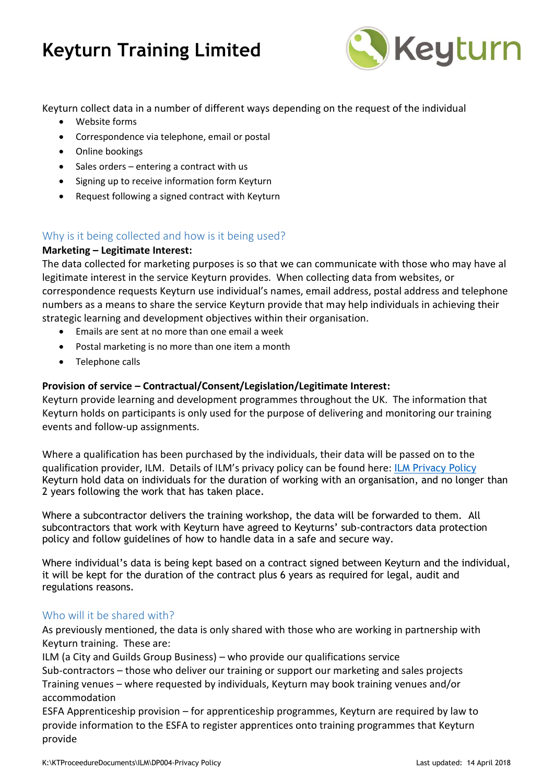

Keyturn collect data in a number of different ways depending on the request of the individual

- Website forms
- Correspondence via telephone, email or postal
- Online bookings
- Sales orders entering a contract with us
- Signing up to receive information form Keyturn
- Request following a signed contract with Keyturn

# Why is it being collected and how is it being used?

#### **Marketing – Legitimate Interest:**

The data collected for marketing purposes is so that we can communicate with those who may have al legitimate interest in the service Keyturn provides. When collecting data from websites, or correspondence requests Keyturn use individual's names, email address, postal address and telephone numbers as a means to share the service Keyturn provide that may help individuals in achieving their strategic learning and development objectives within their organisation.

- Emails are sent at no more than one email a week
- Postal marketing is no more than one item a month
- Telephone calls

# **Provision of service – Contractual/Consent/Legislation/Legitimate Interest:**

Keyturn provide learning and development programmes throughout the UK. The information that Keyturn holds on participants is only used for the purpose of delivering and monitoring our training events and follow-up assignments.

Where a qualification has been purchased by the individuals, their data will be passed on to the qualification provider, ILM. Details of ILM's privacy policy can be found here: [ILM Privacy Policy](https://www.i-l-m.com/privacy/) Keyturn hold data on individuals for the duration of working with an organisation, and no longer than 2 years following the work that has taken place.

Where a subcontractor delivers the training workshop, the data will be forwarded to them. All subcontractors that work with Keyturn have agreed to Keyturns' sub-contractors data protection policy and follow guidelines of how to handle data in a safe and secure way.

Where individual's data is being kept based on a contract signed between Keyturn and the individual, it will be kept for the duration of the contract plus 6 years as required for legal, audit and regulations reasons.

# Who will it be shared with?

As previously mentioned, the data is only shared with those who are working in partnership with Keyturn training. These are:

ILM (a City and Guilds Group Business) – who provide our qualifications service Sub-contractors – those who deliver our training or support our marketing and sales projects Training venues – where requested by individuals, Keyturn may book training venues and/or accommodation

ESFA Apprenticeship provision – for apprenticeship programmes, Keyturn are required by law to provide information to the ESFA to register apprentices onto training programmes that Keyturn provide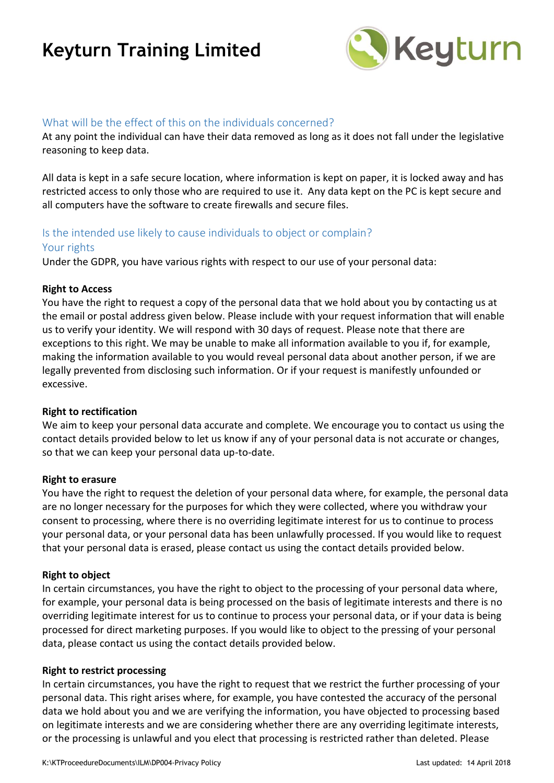

# What will be the effect of this on the individuals concerned?

At any point the individual can have their data removed as long as it does not fall under the legislative reasoning to keep data.

All data is kept in a safe secure location, where information is kept on paper, it is locked away and has restricted access to only those who are required to use it. Any data kept on the PC is kept secure and all computers have the software to create firewalls and secure files.

# Is the intended use likely to cause individuals to object or complain?

#### Your rights

Under the GDPR, you have various rights with respect to our use of your personal data:

#### **Right to Access**

You have the right to request a copy of the personal data that we hold about you by contacting us at the email or postal address given below. Please include with your request information that will enable us to verify your identity. We will respond with 30 days of request. Please note that there are exceptions to this right. We may be unable to make all information available to you if, for example, making the information available to you would reveal personal data about another person, if we are legally prevented from disclosing such information. Or if your request is manifestly unfounded or excessive.

#### **Right to rectification**

We aim to keep your personal data accurate and complete. We encourage you to contact us using the contact details provided below to let us know if any of your personal data is not accurate or changes, so that we can keep your personal data up-to-date.

#### **Right to erasure**

You have the right to request the deletion of your personal data where, for example, the personal data are no longer necessary for the purposes for which they were collected, where you withdraw your consent to processing, where there is no overriding legitimate interest for us to continue to process your personal data, or your personal data has been unlawfully processed. If you would like to request that your personal data is erased, please contact us using the contact details provided below.

#### **Right to object**

In certain circumstances, you have the right to object to the processing of your personal data where, for example, your personal data is being processed on the basis of legitimate interests and there is no overriding legitimate interest for us to continue to process your personal data, or if your data is being processed for direct marketing purposes. If you would like to object to the pressing of your personal data, please contact us using the contact details provided below.

#### **Right to restrict processing**

In certain circumstances, you have the right to request that we restrict the further processing of your personal data. This right arises where, for example, you have contested the accuracy of the personal data we hold about you and we are verifying the information, you have objected to processing based on legitimate interests and we are considering whether there are any overriding legitimate interests, or the processing is unlawful and you elect that processing is restricted rather than deleted. Please